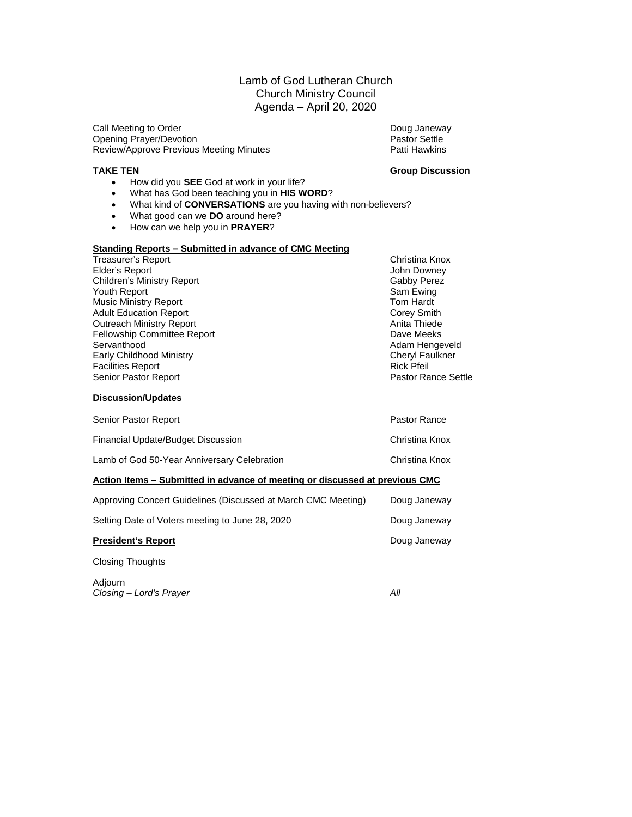#### Lamb of God Lutheran Church Church Ministry Council Agenda – April 20, 2020

Call Meeting to Order National Communication of the Doug Janeway<br>
Opening Prayer/Devotion National Communication of Pastor Settle Opening Prayer/Devotion <br>
Review/Approve Previous Meeting Minutes 
Pastor Settle Patti Hawkins Review/Approve Previous Meeting Minutes

- **TAKE TEN Group Discussion**
	- How did you **SEE** God at work in your life?
	- What has God been teaching you in **HIS WORD**?
	- What kind of **CONVERSATIONS** are you having with non-believers?
	- What good can we **DO** around here?
	- How can we help you in **PRAYER**?

#### **Standing Reports – Submitted in advance of CMC Meeting**

| Treasurer's Report                 | Christina Knox             |
|------------------------------------|----------------------------|
| Elder's Report                     | John Downey                |
| <b>Children's Ministry Report</b>  | Gabby Perez                |
| Youth Report                       | Sam Ewing                  |
| <b>Music Ministry Report</b>       | Tom Hardt                  |
| <b>Adult Education Report</b>      | Corey Smith                |
| <b>Outreach Ministry Report</b>    | Anita Thiede               |
| <b>Fellowship Committee Report</b> | Dave Meeks                 |
| Servanthood                        | Adam Hengeveld             |
| Early Childhood Ministry           | <b>Cheryl Faulkner</b>     |
| <b>Facilities Report</b>           | <b>Rick Pfeil</b>          |
| Senior Pastor Report               | <b>Pastor Rance Settle</b> |
|                                    |                            |

#### **Discussion/Updates**

| Senior Pastor Report                                                        | Pastor Rance   |  |  |  |  |  |
|-----------------------------------------------------------------------------|----------------|--|--|--|--|--|
| Financial Update/Budget Discussion                                          | Christina Knox |  |  |  |  |  |
| Lamb of God 50-Year Anniversary Celebration                                 | Christina Knox |  |  |  |  |  |
| Action Items – Submitted in advance of meeting or discussed at previous CMC |                |  |  |  |  |  |
| Approving Concert Guidelines (Discussed at March CMC Meeting)               | Doug Janeway   |  |  |  |  |  |
| Setting Date of Voters meeting to June 28, 2020                             | Doug Janeway   |  |  |  |  |  |
| <b>President's Report</b>                                                   | Doug Janeway   |  |  |  |  |  |

Closing Thoughts

Adjourn *Closing – Lord's Prayer All*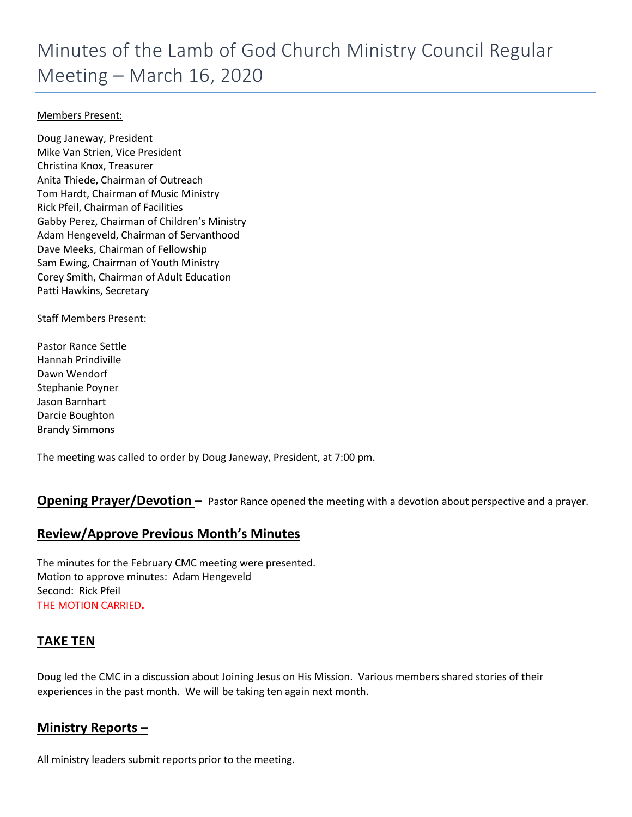#### Members Present:

Doug Janeway, President Mike Van Strien, Vice President Christina Knox, Treasurer Anita Thiede, Chairman of Outreach Tom Hardt, Chairman of Music Ministry Rick Pfeil, Chairman of Facilities Gabby Perez, Chairman of Children's Ministry Adam Hengeveld, Chairman of Servanthood Dave Meeks, Chairman of Fellowship Sam Ewing, Chairman of Youth Ministry Corey Smith, Chairman of Adult Education Patti Hawkins, Secretary

Staff Members Present:

Pastor Rance Settle Hannah Prindiville Dawn Wendorf Stephanie Poyner Jason Barnhart Darcie Boughton Brandy Simmons

The meeting was called to order by Doug Janeway, President, at 7:00 pm.

#### **Opening Prayer/Devotion –** Pastor Rance opened the meeting with a devotion about perspective and a prayer.

#### **Review/Approve Previous Month's Minutes**

The minutes for the February CMC meeting were presented. Motion to approve minutes: Adam Hengeveld Second: Rick Pfeil THE MOTION CARRIED**.**

#### **TAKE TEN**

Doug led the CMC in a discussion about Joining Jesus on His Mission. Various members shared stories of their experiences in the past month. We will be taking ten again next month.

#### **Ministry Reports –**

All ministry leaders submit reports prior to the meeting.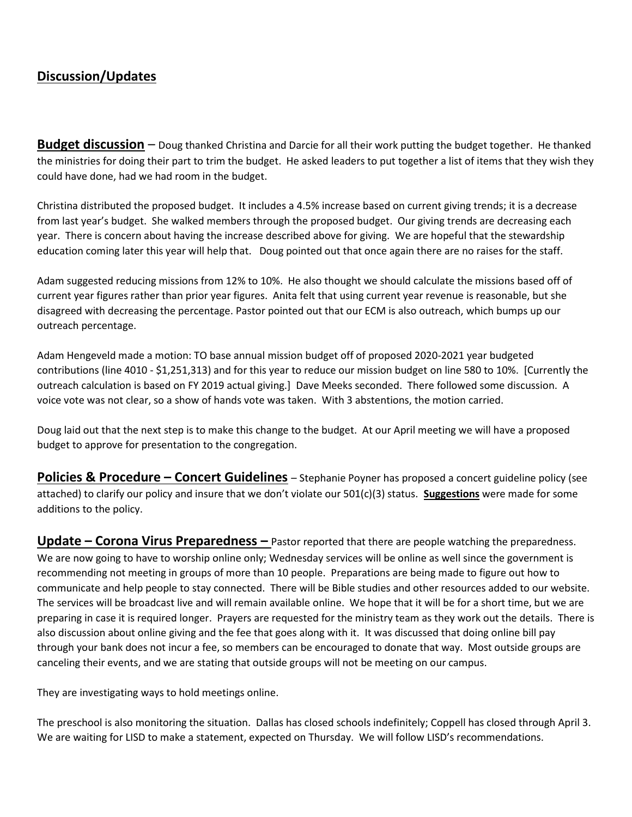# **Discussion/Updates**

**Budget discussion** – Doug thanked Christina and Darcie for all their work putting the budget together. He thanked the ministries for doing their part to trim the budget. He asked leaders to put together a list of items that they wish they could have done, had we had room in the budget.

Christina distributed the proposed budget. It includes a 4.5% increase based on current giving trends; it is a decrease from last year's budget. She walked members through the proposed budget. Our giving trends are decreasing each year. There is concern about having the increase described above for giving. We are hopeful that the stewardship education coming later this year will help that. Doug pointed out that once again there are no raises for the staff.

Adam suggested reducing missions from 12% to 10%. He also thought we should calculate the missions based off of current year figures rather than prior year figures. Anita felt that using current year revenue is reasonable, but she disagreed with decreasing the percentage. Pastor pointed out that our ECM is also outreach, which bumps up our outreach percentage.

Adam Hengeveld made a motion: TO base annual mission budget off of proposed 2020-2021 year budgeted contributions (line 4010 - \$1,251,313) and for this year to reduce our mission budget on line 580 to 10%. [Currently the outreach calculation is based on FY 2019 actual giving.] Dave Meeks seconded. There followed some discussion. A voice vote was not clear, so a show of hands vote was taken. With 3 abstentions, the motion carried.

Doug laid out that the next step is to make this change to the budget. At our April meeting we will have a proposed budget to approve for presentation to the congregation.

**Policies & Procedure – Concert Guidelines** – Stephanie Poyner has proposed a concert guideline policy (see attached) to clarify our policy and insure that we don't violate our 501(c)(3) status. **Suggestions** were made for some additions to the policy.

**Update – Corona Virus Preparedness –** Pastor reported that there are people watching the preparedness. We are now going to have to worship online only; Wednesday services will be online as well since the government is recommending not meeting in groups of more than 10 people. Preparations are being made to figure out how to communicate and help people to stay connected. There will be Bible studies and other resources added to our website. The services will be broadcast live and will remain available online. We hope that it will be for a short time, but we are preparing in case it is required longer. Prayers are requested for the ministry team as they work out the details. There is also discussion about online giving and the fee that goes along with it. It was discussed that doing online bill pay through your bank does not incur a fee, so members can be encouraged to donate that way. Most outside groups are canceling their events, and we are stating that outside groups will not be meeting on our campus.

They are investigating ways to hold meetings online.

The preschool is also monitoring the situation. Dallas has closed schools indefinitely; Coppell has closed through April 3. We are waiting for LISD to make a statement, expected on Thursday. We will follow LISD's recommendations.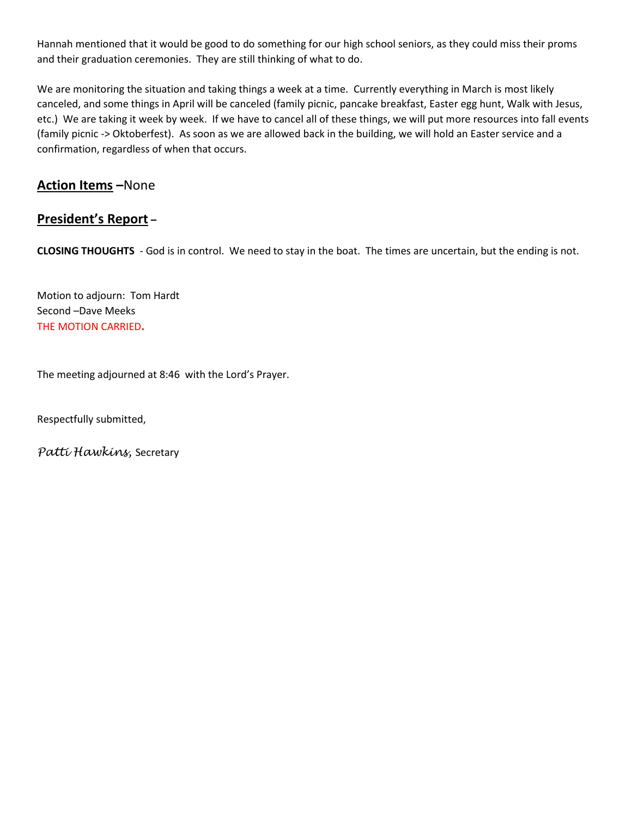Hannah mentioned that it would be good to do something for our high school seniors, as they could miss their proms and their graduation ceremonies. They are still thinking of what to do.

We are monitoring the situation and taking things a week at a time. Currently everything in March is most likely canceled, and some things in April will be canceled (family picnic, pancake breakfast, Easter egg hunt, Walk with Jesus, etc.) We are taking it week by week. If we have to cancel all of these things, we will put more resources into fall events (family picnic -> Oktoberfest). As soon as we are allowed back in the building, we will hold an Easter service and a confirmation, regardless of when that occurs.

# **Action Items –**None

# **President's Report –**

**CLOSING THOUGHTS** - God is in control. We need to stay in the boat. The times are uncertain, but the ending is not.

Motion to adjourn: Tom Hardt Second –Dave Meeks THE MOTION CARRIED**.**

The meeting adjourned at 8:46 with the Lord's Prayer.

Respectfully submitted,

*Patti Hawkins,* Secretary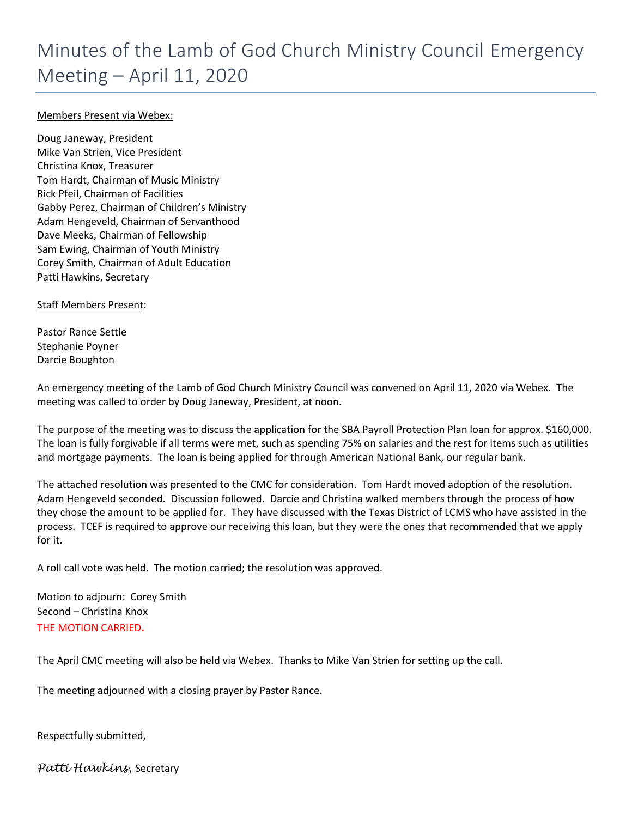#### Members Present via Webex:

Doug Janeway, President Mike Van Strien, Vice President Christina Knox, Treasurer Tom Hardt, Chairman of Music Ministry Rick Pfeil, Chairman of Facilities Gabby Perez, Chairman of Children's Ministry Adam Hengeveld, Chairman of Servanthood Dave Meeks, Chairman of Fellowship Sam Ewing, Chairman of Youth Ministry Corey Smith, Chairman of Adult Education Patti Hawkins, Secretary

Staff Members Present:

Pastor Rance Settle Stephanie Poyner Darcie Boughton

An emergency meeting of the Lamb of God Church Ministry Council was convened on April 11, 2020 via Webex. The meeting was called to order by Doug Janeway, President, at noon.

The purpose of the meeting was to discuss the application for the SBA Payroll Protection Plan loan for approx. \$160,000. The loan is fully forgivable if all terms were met, such as spending 75% on salaries and the rest for items such as utilities and mortgage payments. The loan is being applied for through American National Bank, our regular bank.

The attached resolution was presented to the CMC for consideration. Tom Hardt moved adoption of the resolution. Adam Hengeveld seconded. Discussion followed. Darcie and Christina walked members through the process of how they chose the amount to be applied for. They have discussed with the Texas District of LCMS who have assisted in the process. TCEF is required to approve our receiving this loan, but they were the ones that recommended that we apply for it.

A roll call vote was held. The motion carried; the resolution was approved.

Motion to adjourn: Corey Smith Second – Christina Knox THE MOTION CARRIED**.**

The April CMC meeting will also be held via Webex. Thanks to Mike Van Strien for setting up the call.

The meeting adjourned with a closing prayer by Pastor Rance.

Respectfully submitted,

*Patti Hawkins,* Secretary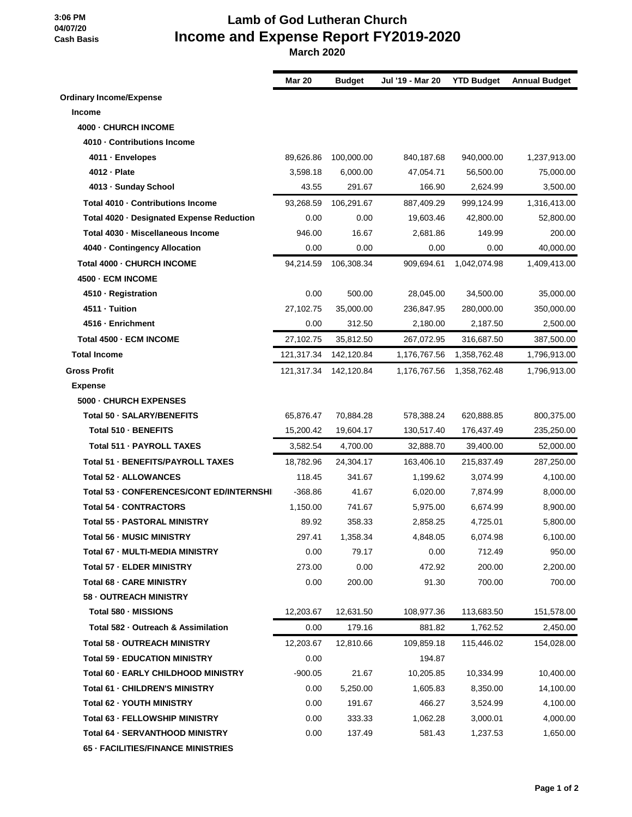**3:06 PM 04/07/20 Cash Basis**

# **Lamb of God Lutheran Church Income and Expense Report FY2019-2020**

 **March 2020**

|                                           | <b>Mar 20</b> | <b>Budget</b> | Jul '19 - Mar 20 | <b>YTD Budget</b> | <b>Annual Budget</b> |
|-------------------------------------------|---------------|---------------|------------------|-------------------|----------------------|
| <b>Ordinary Income/Expense</b>            |               |               |                  |                   |                      |
| Income                                    |               |               |                  |                   |                      |
| 4000 - CHURCH INCOME                      |               |               |                  |                   |                      |
| 4010 - Contributions Income               |               |               |                  |                   |                      |
| 4011 - Envelopes                          | 89,626.86     | 100,000.00    | 840,187.68       | 940,000.00        | 1,237,913.00         |
| 4012 - Plate                              | 3,598.18      | 6,000.00      | 47,054.71        | 56.500.00         | 75,000.00            |
| 4013 - Sunday School                      | 43.55         | 291.67        | 166.90           | 2,624.99          | 3,500.00             |
| Total 4010 - Contributions Income         | 93,268.59     | 106,291.67    | 887,409.29       | 999,124.99        | 1,316,413.00         |
| Total 4020 · Designated Expense Reduction | 0.00          | 0.00          | 19,603.46        | 42,800.00         | 52,800.00            |
| Total 4030 · Miscellaneous Income         | 946.00        | 16.67         | 2,681.86         | 149.99            | 200.00               |
| 4040 · Contingency Allocation             | 0.00          | 0.00          | 0.00             | 0.00              | 40,000.00            |
| Total 4000 - CHURCH INCOME                | 94,214.59     | 106,308.34    | 909,694.61       | 1,042,074.98      | 1,409,413.00         |
| 4500 - ECM INCOME                         |               |               |                  |                   |                      |
| 4510 - Registration                       | 0.00          | 500.00        | 28,045.00        | 34,500.00         | 35,000.00            |
| 4511 - Tuition                            | 27.102.75     | 35.000.00     | 236,847.95       | 280,000.00        | 350,000.00           |
| 4516 - Enrichment                         | 0.00          | 312.50        | 2,180.00         | 2,187.50          | 2,500.00             |
| Total 4500 - ECM INCOME                   | 27,102.75     | 35,812.50     | 267,072.95       | 316,687.50        | 387,500.00           |
| <b>Total Income</b>                       | 121,317.34    | 142,120.84    | 1,176,767.56     | 1,358,762.48      | 1,796,913.00         |
| <b>Gross Profit</b>                       | 121,317.34    | 142,120.84    | 1,176,767.56     | 1,358,762.48      | 1,796,913.00         |
| <b>Expense</b>                            |               |               |                  |                   |                      |
| 5000 - CHURCH EXPENSES                    |               |               |                  |                   |                      |
| Total 50 - SALARY/BENEFITS                | 65,876.47     | 70,884.28     | 578,388.24       | 620,888.85        | 800,375.00           |
| Total 510 - BENEFITS                      | 15,200.42     | 19,604.17     | 130,517.40       | 176,437.49        | 235,250.00           |
| Total 511 - PAYROLL TAXES                 | 3,582.54      | 4,700.00      | 32,888.70        | 39,400.00         | 52,000.00            |
| Total 51 - BENEFITS/PAYROLL TAXES         | 18,782.96     | 24,304.17     | 163,406.10       | 215,837.49        | 287,250.00           |
| Total 52 - ALLOWANCES                     | 118.45        | 341.67        | 1,199.62         | 3,074.99          | 4,100.00             |
| Total 53 - CONFERENCES/CONT ED/INTERNSHI  | $-368.86$     | 41.67         | 6,020.00         | 7,874.99          | 8,000.00             |
| <b>Total 54 - CONTRACTORS</b>             | 1,150.00      | 741.67        | 5,975.00         | 6.674.99          | 8,900.00             |
| Total 55 - PASTORAL MINISTRY              | 89.92         | 358.33        | 2,858.25         | 4,725.01          | 5,800.00             |
| <b>Total 56 - MUSIC MINISTRY</b>          | 297.41        | 1,358.34      | 4,848.05         | 6,074.98          | 6,100.00             |
| Total 67 - MULTI-MEDIA MINISTRY           | 0.00          | 79.17         | 0.00             | 712.49            | 950.00               |
| <b>Total 57 - ELDER MINISTRY</b>          | 273.00        | 0.00          | 472.92           | 200.00            | 2,200.00             |
| <b>Total 68 - CARE MINISTRY</b>           | 0.00          | 200.00        | 91.30            | 700.00            | 700.00               |
| 58 - OUTREACH MINISTRY                    |               |               |                  |                   |                      |
| Total 580 - MISSIONS                      | 12,203.67     | 12,631.50     | 108,977.36       | 113,683.50        | 151,578.00           |
| Total 582 - Outreach & Assimilation       | 0.00          | 179.16        | 881.82           | 1,762.52          | 2,450.00             |
| Total 58 - OUTREACH MINISTRY              | 12,203.67     | 12,810.66     | 109,859.18       | 115,446.02        | 154,028.00           |
| <b>Total 59 - EDUCATION MINISTRY</b>      | 0.00          |               | 194.87           |                   |                      |
| Total 60 - EARLY CHILDHOOD MINISTRY       | $-900.05$     | 21.67         | 10,205.85        | 10,334.99         | 10,400.00            |
| Total 61 - CHILDREN'S MINISTRY            | 0.00          | 5,250.00      | 1,605.83         | 8,350.00          | 14,100.00            |
| Total 62 - YOUTH MINISTRY                 | 0.00          | 191.67        | 466.27           | 3,524.99          | 4,100.00             |
| Total 63 - FELLOWSHIP MINISTRY            | 0.00          | 333.33        | 1,062.28         | 3,000.01          | 4,000.00             |
| Total 64 - SERVANTHOOD MINISTRY           | 0.00          | 137.49        | 581.43           | 1,237.53          | 1,650.00             |
| 65 - FACILITIES/FINANCE MINISTRIES        |               |               |                  |                   |                      |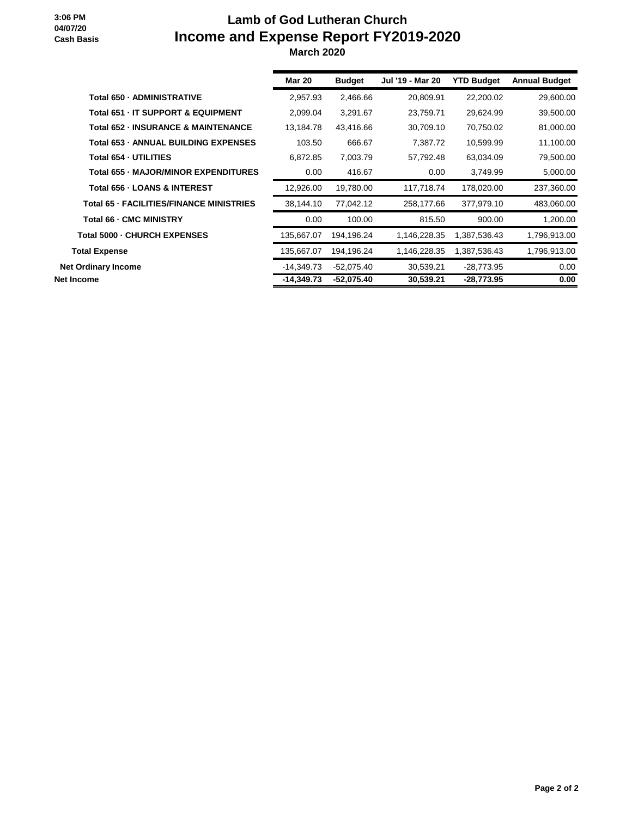#### **3:06 PM 04/07/20 Cash Basis**

# **Lamb of God Lutheran Church Income and Expense Report FY2019-2020 March 2020**

|                                                | <b>Mar 20</b> | <b>Budget</b> | Jul '19 - Mar 20 | <b>YTD Budget</b> | <b>Annual Budget</b> |
|------------------------------------------------|---------------|---------------|------------------|-------------------|----------------------|
| Total 650 - ADMINISTRATIVE                     | 2.957.93      | 2,466.66      | 20,809.91        | 22,200.02         | 29,600.00            |
| Total 651 - IT SUPPORT & EQUIPMENT             | 2,099.04      | 3,291.67      | 23,759.71        | 29,624.99         | 39,500.00            |
| <b>Total 652 - INSURANCE &amp; MAINTENANCE</b> | 13,184.78     | 43,416.66     | 30,709.10        | 70,750.02         | 81,000.00            |
| <b>Total 653 - ANNUAL BUILDING EXPENSES</b>    | 103.50        | 666.67        | 7,387.72         | 10,599.99         | 11,100.00            |
| Total 654 - UTILITIES                          | 6,872.85      | 7,003.79      | 57,792.48        | 63,034.09         | 79,500.00            |
| <b>Total 655 - MAJOR/MINOR EXPENDITURES</b>    | 0.00          | 416.67        | 0.00             | 3,749.99          | 5,000.00             |
| Total 656 - LOANS & INTEREST                   | 12,926.00     | 19.780.00     | 117,718.74       | 178,020.00        | 237,360.00           |
| Total 65 - FACILITIES/FINANCE MINISTRIES       | 38,144.10     | 77,042.12     | 258,177.66       | 377,979.10        | 483,060.00           |
| Total 66 - CMC MINISTRY                        | 0.00          | 100.00        | 815.50           | 900.00            | 1,200.00             |
| Total 5000 - CHURCH EXPENSES                   | 135,667.07    | 194,196.24    | 1,146,228.35     | 1,387,536.43      | 1,796,913.00         |
| <b>Total Expense</b>                           | 135,667.07    | 194,196.24    | 1,146,228.35     | 1,387,536.43      | 1,796,913.00         |
| <b>Net Ordinary Income</b>                     | $-14,349.73$  | $-52.075.40$  | 30,539.21        | -28,773.95        | 0.00                 |
| Net Income                                     | $-14,349.73$  | $-52,075.40$  | 30,539.21        | $-28,773.95$      | 0.00                 |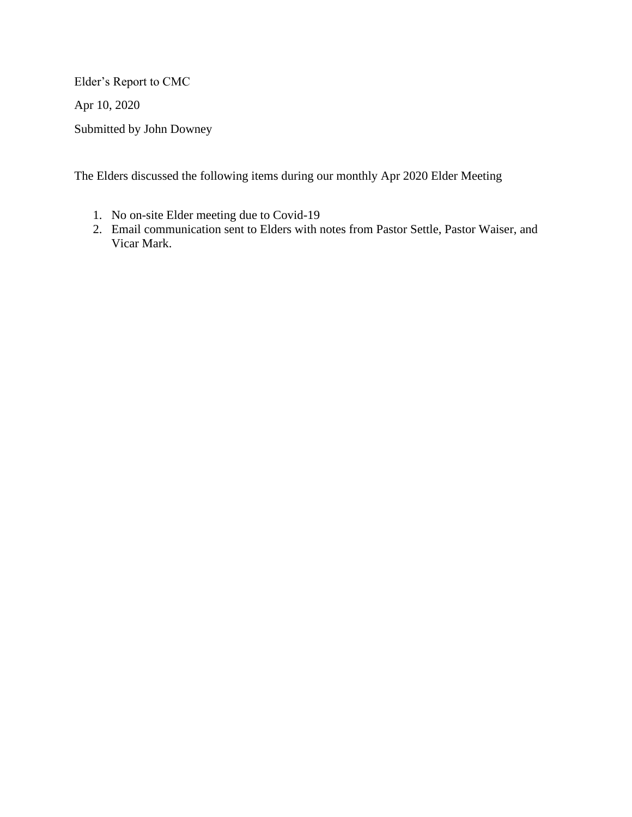Elder's Report to CMC

Apr 10, 2020

Submitted by John Downey

The Elders discussed the following items during our monthly Apr 2020 Elder Meeting

- 1. No on-site Elder meeting due to Covid-19
- 2. Email communication sent to Elders with notes from Pastor Settle, Pastor Waiser, and Vicar Mark.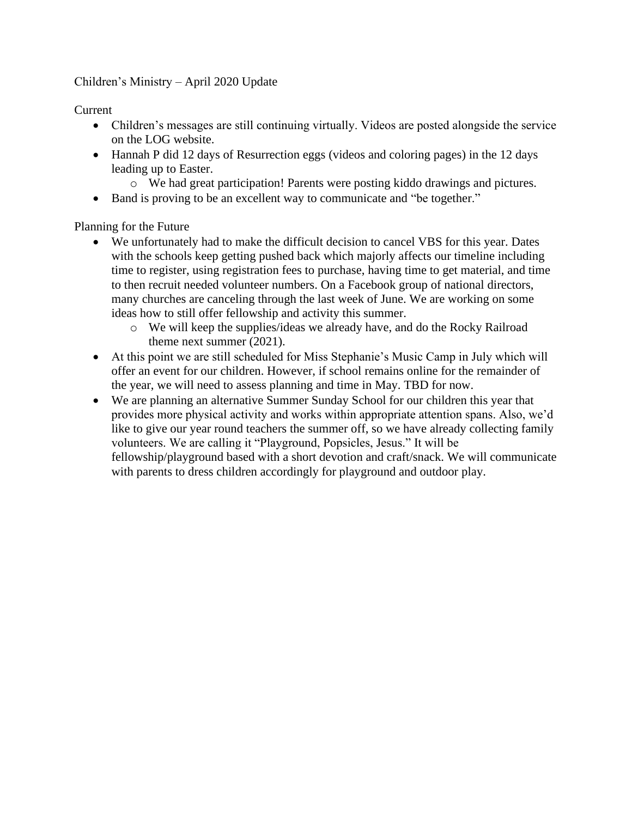#### Children's Ministry – April 2020 Update

Current

- Children's messages are still continuing virtually. Videos are posted alongside the service on the LOG website.
- Hannah P did 12 days of Resurrection eggs (videos and coloring pages) in the 12 days leading up to Easter.
	- o We had great participation! Parents were posting kiddo drawings and pictures.
- Band is proving to be an excellent way to communicate and "be together."

Planning for the Future

- We unfortunately had to make the difficult decision to cancel VBS for this year. Dates with the schools keep getting pushed back which majorly affects our timeline including time to register, using registration fees to purchase, having time to get material, and time to then recruit needed volunteer numbers. On a Facebook group of national directors, many churches are canceling through the last week of June. We are working on some ideas how to still offer fellowship and activity this summer.
	- o We will keep the supplies/ideas we already have, and do the Rocky Railroad theme next summer (2021).
- At this point we are still scheduled for Miss Stephanie's Music Camp in July which will offer an event for our children. However, if school remains online for the remainder of the year, we will need to assess planning and time in May. TBD for now.
- We are planning an alternative Summer Sunday School for our children this year that provides more physical activity and works within appropriate attention spans. Also, we'd like to give our year round teachers the summer off, so we have already collecting family volunteers. We are calling it "Playground, Popsicles, Jesus." It will be fellowship/playground based with a short devotion and craft/snack. We will communicate with parents to dress children accordingly for playground and outdoor play.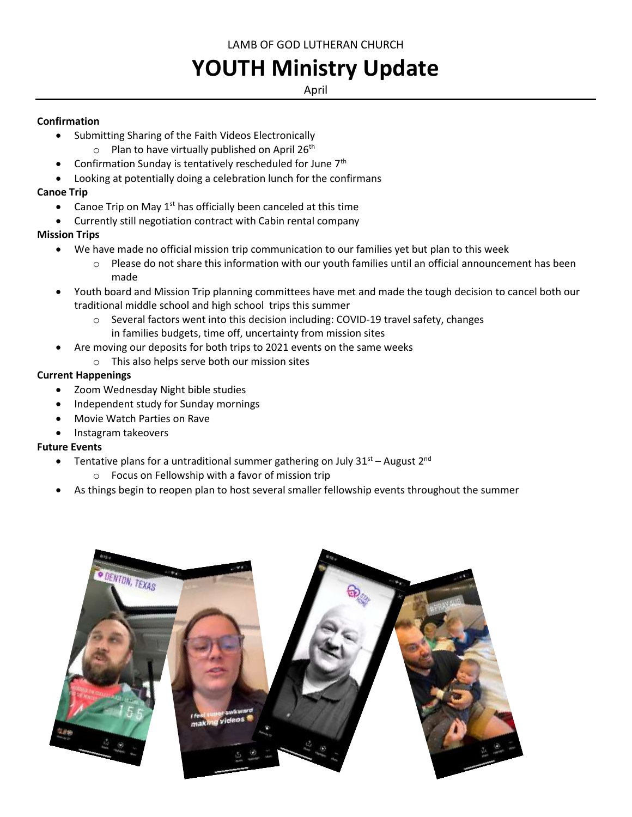LAMB OF GOD LUTHERAN CHURCH

# **YOUTH Ministry Update**

#### April

#### **Confirmation**

- Submitting Sharing of the Faith Videos Electronically
	- $\circ$  Plan to have virtually published on April 26<sup>th</sup>
- Confirmation Sunday is tentatively rescheduled for June 7th
- Looking at potentially doing a celebration lunch for the confirmans

### **Canoe Trip**

- Canoe Trip on May  $1<sup>st</sup>$  has officially been canceled at this time
- Currently still negotiation contract with Cabin rental company

## **Mission Trips**

- We have made no official mission trip communication to our families yet but plan to this week
	- $\circ$  Please do not share this information with our youth families until an official announcement has been made
- Youth board and Mission Trip planning committees have met and made the tough decision to cancel both our traditional middle school and high school trips this summer
	- $\circ$  Several factors went into this decision including: COVID-19 travel safety, changes in families budgets, time off, uncertainty from mission sites
- Are moving our deposits for both trips to 2021 events on the same weeks
	- o This also helps serve both our mission sites

### **Current Happenings**

- Zoom Wednesday Night bible studies
- Independent study for Sunday mornings
- Movie Watch Parties on Rave
- Instagram takeovers

#### **Future Events**

- Tentative plans for a untraditional summer gathering on July  $31<sup>st</sup>$  August  $2<sup>nd</sup>$ 
	- o Focus on Fellowship with a favor of mission trip
- As things begin to reopen plan to host several smaller fellowship events throughout the summer

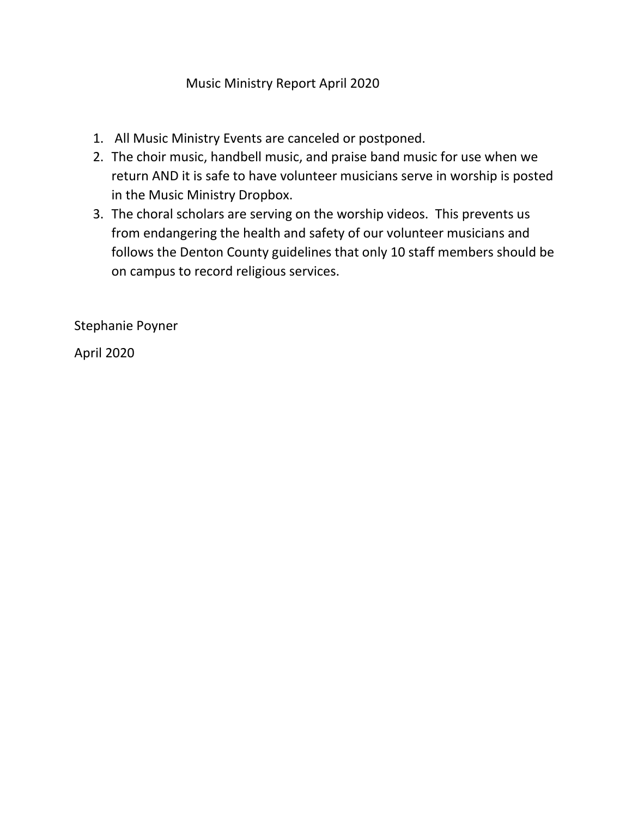# Music Ministry Report April 2020

- 1. All Music Ministry Events are canceled or postponed.
- 2. The choir music, handbell music, and praise band music for use when we return AND it is safe to have volunteer musicians serve in worship is posted in the Music Ministry Dropbox.
- 3. The choral scholars are serving on the worship videos. This prevents us from endangering the health and safety of our volunteer musicians and follows the Denton County guidelines that only 10 staff members should be on campus to record religious services.

Stephanie Poyner

April 2020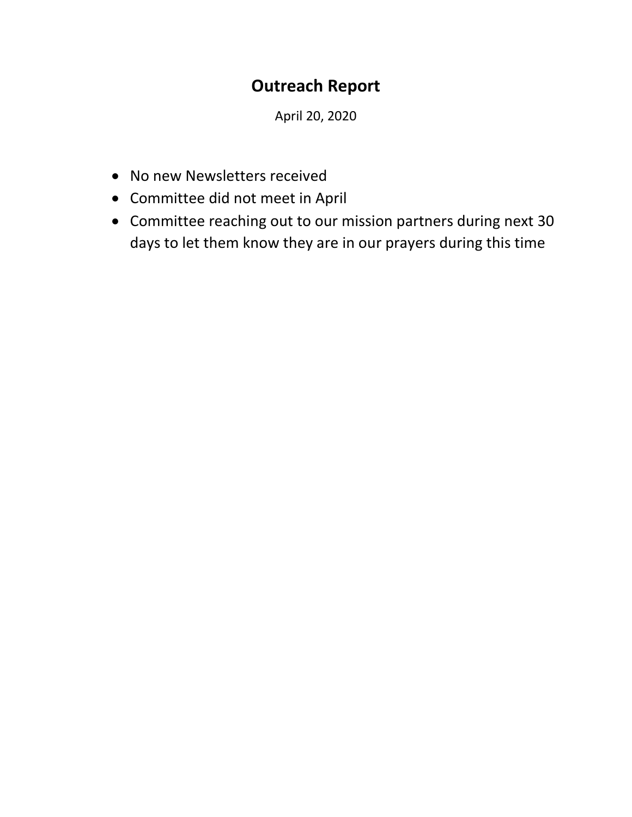# **Outreach Report**

April 20, 2020

- No new Newsletters received
- Committee did not meet in April
- Committee reaching out to our mission partners during next 30 days to let them know they are in our prayers during this time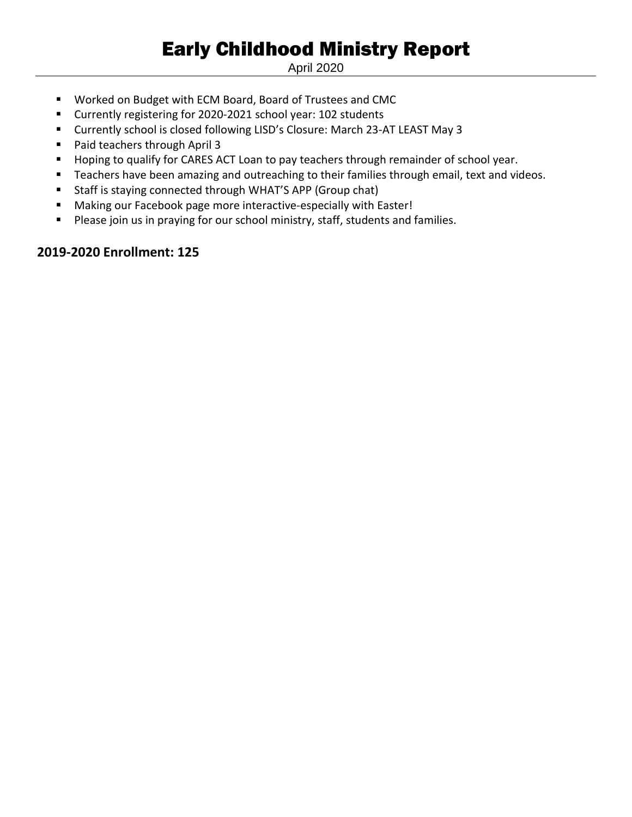# Early Childhood Ministry Report

April 2020

- Worked on Budget with ECM Board, Board of Trustees and CMC
- Currently registering for 2020-2021 school year: 102 students
- Currently school is closed following LISD's Closure: March 23-AT LEAST May 3
- Paid teachers through April 3
- Hoping to qualify for CARES ACT Loan to pay teachers through remainder of school year.
- Teachers have been amazing and outreaching to their families through email, text and videos.
- Staff is staying connected through WHAT'S APP (Group chat)
- Making our Facebook page more interactive-especially with Easter!
- Please join us in praying for our school ministry, staff, students and families.

# **2019-2020 Enrollment: 125**